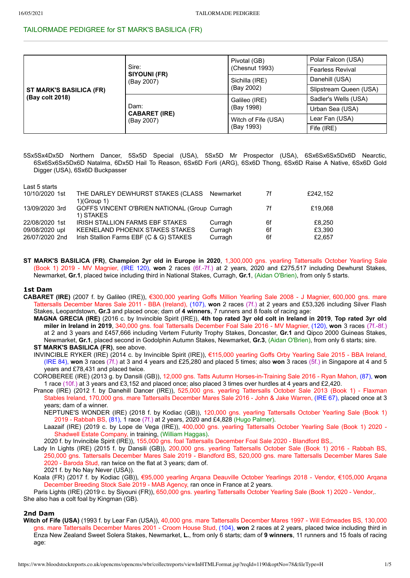# TAILORMADE PEDIGREE for ST MARK'S BASILICA (FR)

| ST MARK'S BASILICA (FR)<br>(Bay colt 2018) | Sire:<br><b>SIYOUNI (FR)</b><br>(Bay 2007) | Pivotal (GB)        | Polar Falcon (USA)      |  |
|--------------------------------------------|--------------------------------------------|---------------------|-------------------------|--|
|                                            |                                            | (Chesnut 1993)      | <b>Fearless Revival</b> |  |
|                                            |                                            | Sichilla (IRE)      | Danehill (USA)          |  |
|                                            |                                            | (Bay 2002)          | Slipstream Queen (USA)  |  |
|                                            | Dam:<br><b>CABARET (IRE)</b><br>(Bay 2007) | Galileo (IRE)       | Sadler's Wells (USA)    |  |
|                                            |                                            | (Bay 1998)          | Urban Sea (USA)         |  |
|                                            |                                            | Witch of Fife (USA) | Lear Fan (USA)          |  |
|                                            |                                            | (Bay 1993)          | Fife (IRE)              |  |

5Sx5Sx4Dx5D Northern Dancer, 5Sx5D Special (USA), 5Sx5D Mr Prospector (USA), 6Sx6Sx6Sx5Dx6D Nearctic, 6Sx6Sx6Sx5Dx6D Natalma, 6Dx5D Hail To Reason, 6Sx6D Forli (ARG), 6Sx6D Thong, 6Sx6D Raise A Native, 6Sx6D Gold Digger (USA), 6Sx6D Buckpasser

| Last 5 starts  |                                               |           |    |          |
|----------------|-----------------------------------------------|-----------|----|----------|
| 10/10/2020 1st | THE DARLEY DEWHURST STAKES (CLASS             | Newmarket | 7f | £242.152 |
|                | $1$ )(Group 1)                                |           |    |          |
| 13/09/2020 3rd | GOFFS VINCENT O'BRIEN NATIONAL (Group Curragh |           | 7f | £19.068  |
|                | 1) STAKES                                     |           |    |          |
| 22/08/2020 1st | IRISH STALLION FARMS EBF STAKES               | Curragh   | 6f | £8.250   |
| 09/08/2020 upl | KEENELAND PHOENIX STAKES STAKES               | Curragh   | 6f | £3.390   |
| 26/07/2020 2nd | Irish Stallion Farms EBF (C & G) STAKES       | Curragh   | 6f | £2.657   |
|                |                                               |           |    |          |

**ST MARK'S BASILICA (FR)**, **Champion 2yr old in Europe in 2020**, 1,300,000 gns. yearling Tattersalls October Yearling Sale (Book 1) 2019 - MV Magnier, (IRE 120), **won** 2 races (6f.-7f.) at 2 years, 2020 and £275,517 including Dewhurst Stakes, Newmarket, **Gr.1**, placed twice including third in National Stakes, Curragh, **Gr.1**, (Aidan O'Brien), from only 5 starts.

## **1st Dam**

- **CABARET (IRE)** (2007 f. by Galileo (IRE)), €300,000 yearling Goffs Million Yearling Sale 2008 J Magnier, 600,000 gns. mare Tattersalls December Mares Sale 2011 - BBA (Ireland), (107), **won** 2 races (7f.) at 2 years and £53,326 including Silver Flash Stakes, Leopardstown, **Gr.3** and placed once; dam of **4 winners**, 7 runners and 8 foals of racing age:
	- **MAGNA GRECIA (IRE)** (2016 c. by Invincible Spirit (IRE)), **4th top rated 3yr old colt in Ireland in 2019**, **Top rated 3yr old miler in Ireland in 2019**, 340,000 gns. foal Tattersalls December Foal Sale 2016 - MV Magnier, (120), **won** 3 races (7f.-8f.) at 2 and 3 years and £457,666 including Vertem Futurity Trophy Stakes, Doncaster, **Gr.1** and Qipco 2000 Guineas Stakes, Newmarket, **Gr.1**, placed second in Godolphin Autumn Stakes, Newmarket, **Gr.3**, (Aidan O'Brien), from only 6 starts; sire. **ST MARK'S BASILICA (FR)**, see above.
	- INVINCIBLE RYKER (IRE) (2014 c. by Invincible Spirit (IRE)), €115,000 yearling Goffs Orby Yearling Sale 2015 BBA Ireland, (IRE 84), **won** 3 races (7f.) at 3 and 4 years and £25,280 and placed 5 times; also **won** 3 races (5f.) in Singapore at 4 and 5 years and £78,431 and placed twice.
	- COROBEREE (IRE) (2013 g. by Dansili (GB)), 12,000 gns. Tatts Autumn Horses-in-Training Sale 2016 Ryan Mahon, (87), **won** 1 race (10f.) at 3 years and £3,152 and placed once; also placed 3 times over hurdles at 4 years and £2,420.
	- Prance (IRE) (2012 f. by Danehill Dancer (IRE)), 525,000 gns. yearling Tattersalls October Sale 2013 (Book 1) Flaxman Stables Ireland, 170,000 gns. mare Tattersalls December Mares Sale 2016 - John & Jake Warren, (IRE 67), placed once at 3 years; dam of a winner.

NEPTUNE'S WONDER (IRE) (2018 f. by Kodiac (GB)), 120,000 gns. yearling Tattersalls October Yearling Sale (Book 1) 2019 - Rabbah BS, (81), 1 race (7f.) at 2 years, 2020 and £4,828 (Hugo Palmer).

Laazaif (IRE) (2019 c. by Lope de Vega (IRE)), 400,000 gns. yearling Tattersalls October Yearling Sale (Book 1) 2020 - Shadwell Estate Company, in training, (William Haggas).

2020 f. by Invincible Spirit (IRE)), 155,000 gns. foal Tattersalls December Foal Sale 2020 - Blandford BS,.

Lady In Lights (IRE) (2015 f. by Dansili (GB)), 200,000 gns. yearling Tattersalls October Sale (Book 1) 2016 - Rabbah BS, 250,000 gns. Tattersalls December Mares Sale 2019 - Blandford BS, 520,000 gns. mare Tattersalls December Mares Sale 2020 - Baroda Stud, ran twice on the flat at 3 years; dam of. 2021 f. by No Nay Never (USA)).

Koala (FR) (2017 f. by Kodiac (GB)), €95,000 yearling Arqana Deauville October Yearlings 2018 - Vendor, €105,000 Arqana December Breeding Stock Sale 2019 - MAB Agency, ran once in France at 2 years.

Paris Lights (IRE) (2019 c. by Siyouni (FR)), 650,000 gns. yearling Tattersalls October Yearling Sale (Book 1) 2020 - Vendor,. She also has a colt foal by Kingman (GB).

# **2nd Dam**

**Witch of Fife (USA)** (1993 f. by Lear Fan (USA)), 40,000 gns. mare Tattersalls December Mares 1997 - Will Edmeades BS, 130,000 gns. mare Tattersalls December Mares 2001 - Croom House Stud, (104), **won** 2 races at 2 years, placed twice including third in Enza New Zealand Sweet Solera Stakes, Newmarket, **L.**, from only 6 starts; dam of **9 winners**, 11 runners and 15 foals of racing age: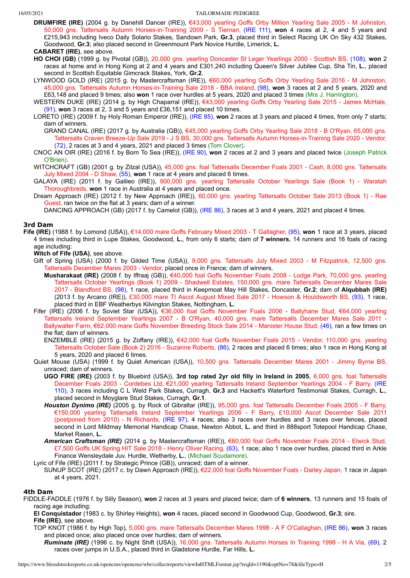- **DRUMFIRE (IRE)** (2004 g. by Danehill Dancer (IRE)), €43,000 yearling Goffs Orby Million Yearling Sale 2005 M Johnston, 50,000 gns. Tattersalls Autumn Horses-in-Training 2009 - S Tiernan, (IRE 111), **won** 4 races at 2, 4 and 5 years and £215,943 including Iveco Daily Solario Stakes, Sandown Park, **Gr.3**, placed third in Select Racing UK On Sky 432 Stakes, Goodwood, **Gr.3**; also placed second in Greenmount Park Novice Hurdle, Limerick, **L.**
- **CABARET (IRE)**, see above.
- **HO CHOI (GB)** (1999 g. by Pivotal (GB)), 20,000 gns. yearling Doncaster St Leger Yearlings 2000 Scottish BS, (108), **won** 2 races at home and in Hong Kong at 2 and 4 years and £301,240 including Queen's Silver Jubilee Cup, Sha Tin, **L.**, placed second in Scottish Equitable Gimcrack Stakes, York, **Gr.2**.
- LYNWOOD GOLD (IRE) (2015 g. by Mastercraftsman (IRE)), €60,000 yearling Goffs Orby Yearling Sale 2016 M Johnston, 45,000 gns. Tattersalls Autumn Horses-in-Training Sale 2018 - BBA Ireland, (98), **won** 3 races at 2 and 5 years, 2020 and £63,148 and placed 9 times; also **won** 1 race over hurdles at 5 years, 2020 and placed 3 times (Mrs J. Harrington).
- WESTERN DUKE (IRE) (2014 g. by High Chaparral (IRE)), €43,000 yearling Goffs Orby Yearling Sale 2015 James McHale, (91), **won** 3 races at 2, 3 and 5 years and £36,151 and placed 10 times.
- LORETO (IRE) (2009 f. by Holy Roman Emperor (IRE)), (IRE 85), **won** 2 races at 3 years and placed 4 times, from only 7 starts; dam of winners.
	- GRAND CANAL (IRE) (2017 g. by Australia (GB)), €45,000 yearling Goffs Orby Yearling Sale 2018 B O'Ryan, 65,000 gns. Tattersalls Craven Breeze-Up Sale 2019 - J S BS, 30,000 gns. Tattersalls Autumn Horses-in-Training Sale 2020 - Vendor, (72), 2 races at 3 and 4 years, 2021 and placed 3 times (Tom Clover).
- CNOC AN OIR (IRE) (2016 f. by Born To Sea (IRE)), (IRE 90), **won** 2 races at 2 and 3 years and placed twice (Joseph Patrick O'Brien).
- WITCHCRAFT (GB) (2001 g. by Zilzal (USA)), 45,000 gns. foal Tattersalls December Foals 2001 Cash, 8,000 gns. Tattersalls July Mixed 2004 - D Shaw, (55), **won** 1 race at 4 years and placed 6 times.
- GALAYA (IRE) (2011 f. by Galileo (IRE)), 900,000 gns. yearling Tattersalls October Yearlings Sale (Book 1) Waratah Thoroughbreds, **won** 1 race in Australia at 4 years and placed once.
- Dream Approach (IRE) (2012 f. by New Approach (IRE)), 60,000 gns. yearling Tattersalls October Sale 2013 (Book 1) Rae Guest, ran twice on the flat at 3 years; dam of a winner.

DANCING APPROACH (GB) (2017 f. by Camelot (GB)), (IRE 86), 3 races at 3 and 4 years, 2021 and placed 4 times.

## **3rd Dam**

- **Fife (IRE)** (1988 f. by Lomond (USA)), €14,000 mare Goffs February Mixed 2003 T Gallagher, (95), **won** 1 race at 3 years, placed 4 times including third in Lupe Stakes, Goodwood, **L.**, from only 6 starts; dam of **7 winners**, 14 runners and 16 foals of racing age including:
	- **Witch of Fife (USA)**, see above.
	- Gift of Spring (USA) (2000 f. by Gilded Time (USA)), 9,000 gns. Tattersalls July Mixed 2003 M Fitzpatrick, 12,500 gns. Tattersalls December Mares 2003 - Vendor, placed once in France; dam of winners.
		- **Musharakaat (IRE)** (2008 f. by Iffraaj (GB)), €40,000 foal Goffs November Foals 2008 Lodge Park, 70,000 gns. yearling Tattersalls October Yearlings (Book 1) 2009 - Shadwell Estates, 150,000 gns. mare Tattersalls December Mares Sale 2017 - Blandford BS, (98), 1 race, placed third in Keepmoat May Hill Stakes, Doncaster, **Gr.2**; dam of **Alqubbah (IRE)** (2013 f. by Arcano (IRE)), £30,000 mare TI Ascot August Mixed Sale 2017 - Howson & Houldsworth BS, (93), 1 race, placed third in EBF Weatherbys Kilvington Stakes, Nottingham, **L.**
	- Fifer (IRE) (2006 f. by Soviet Star (USA)), €36,000 foal Goffs November Foals 2006 Ballyhane Stud, €64,000 yearling Tattersalls Ireland September Yearlings 2007 - B O'Ryan, 40,000 gns. mare Tattersalls December Mares Sale 2011 - Ballywalter Farm, €62,000 mare Goffs November Breeding Stock Sale 2014 - Manister House Stud, (46), ran a few times on the flat; dam of winners.
		- ENZEMBLE (IRE) (2015 g. by Zoffany (IRE)), €42,000 foal Goffs November Foals 2015 Vendor, 110,000 gns. yearling Tattersalls October Sale (Book 2) 2016 - Suzanne Roberts, (86), 2 races and placed 6 times; also 1 race in Hong Kong at 5 years, 2020 and placed 6 times.
	- Quiet Mouse (USA) (1999 f. by Quiet American (USA)), 10,500 gns. Tattersalls December Mares 2001 Jimmy Byrne BS, unraced; dam of winners.
		- **UGO FIRE (IRE)** (2003 f. by Bluebird (USA)), **3rd top rated 2yr old filly in Ireland in 2005**, 6,000 gns. foal Tattersalls December Foals 2003 - Cordebes Ltd, €21,000 yearling Tattersalls Ireland September Yearlings 2004 - F Barry, (IRE 110), 3 races including C L Weld Park Stakes, Curragh, **Gr.3** and Hackett's Waterford Testimonial Stakes, Curragh, **L.**, placed second in Moyglare Stud Stakes, Curragh, **Gr.1**.
		- *Houston Dynimo (IRE)* (2005 g. by Rock of Gibraltar (IRE)), 95,000 gns. foal Tattersalls December Foals 2005 F Barry, €150,000 yearling Tattersalls Ireland September Yearlings 2006 - F Barry, £10,000 Ascot December Sale 2011 (postponed from 2010) - N Richards, (IRE 97), 4 races; also 3 races over hurdles and 3 races over fences, placed second in Lord Mildmay Memorial Handicap Chase, Newton Abbot, **L.** and third in 888sport Totepool Handicap Chase, Market Rasen, **L.**
		- *American Craftsman (IRE)* (2014 g. by Mastercraftsman (IRE)), €60,000 foal Goffs November Foals 2014 Elwick Stud, £7,500 Goffs UK Spring HIT Sale 2018 - Henry Oliver Racing, (63), 1 race; also 1 race over hurdles, placed third in Arkle Finance Wensleydale Juv. Hurdle, Wetherby, **L.**, (Michael Scudamore).
	- Lyric of Fife (IRE) (2011 f. by Strategic Prince (GB)), unraced; dam of a winner.
	- SUNUP SCOT (IRE) (2017 c. by Dawn Approach (IRE)), €22,000 foal Goffs November Foals Darley Japan, 1 race in Japan at 4 years, 2021.

## **4th Dam**

- FIDDLE-FADDLE (1976 f. by Silly Season), **won** 2 races at 3 years and placed twice; dam of **6 winners**, 13 runners and 15 foals of racing age including:
	- **El Conquistador** (1983 c. by Shirley Heights), **won** 4 races, placed second in Goodwood Cup, Goodwood, **Gr.3**; sire. **Fife (IRE)**, see above.
	- TOP KNOT (1986 f. by High Top), 5,000 gns. mare Tattersalls December Mares 1998 A F O'Callaghan, (IRE 86), **won** 3 races and placed once; also placed once over hurdles; dam of winners.
		- *Ruminate (IRE)* (1996 c. by Night Shift (USA)), 16,000 gns. Tattersalls Autumn Horses In Training 1998 H A Via, (69), 2 races over jumps in U.S.A., placed third in Gladstone Hurdle, Far Hills, **L.**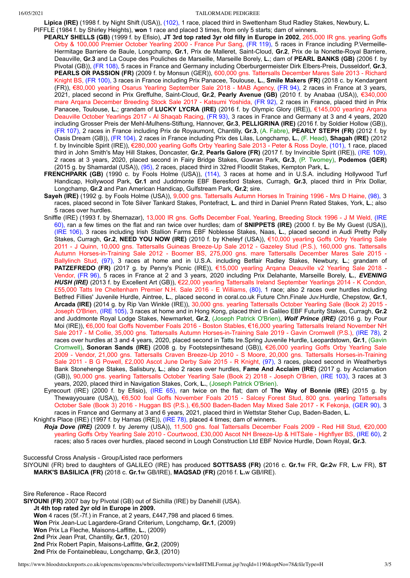- **Lipica (IRE)** (1998 f. by Night Shift (USA)), (102), 1 race, placed third in Swettenham Stud Radley Stakes, Newbury, **L.**
- PIFFLE (1984 f. by Shirley Heights), **won** 1 race and placed 3 times, from only 5 starts; dam of winners.
	- **PEARLY SHELLS (GB)** (1999 f. by Efisio), **JT 3rd top rated 3yr old filly in Europe in 2002**, 265,000 IR gns. yearling Goffs Orby & 100,000 Premier October Yearling 2000 - France Pur Sang, (FR 119), 5 races in France including P.Vermeille-Hermitage Barriere de Baule, Longchamp, **Gr.1**, Prix de Malleret, Saint-Cloud, **Gr.2**, Prix de la Nonette-Royal Barriere, Deauville, **Gr.3** and La Coupe des Pouliches de Marseille, Marseille Borely, **L.**; dam of **PEARL BANKS (GB)** (2006 f. by Pivotal (GB)), (FR 108), 5 races in France and Germany including Oberburgermeister Dirk Elbers-Preis, Dusseldorf, **Gr.3**, **PEARLS OR PASSION (FR)** (2009 f. by Monsun (GER)), 600,000 gns. Tattersalls December Mares Sale 2013 - Richard Knight BS, (FR 100), 3 races in France including Prix Panacee, Toulouse, **L.**, **Smile Makers (FR)** (2018 c. by Kendargent (FR)), €80,000 yearling Osarus Yearling September Sale 2018 - MAB Agency, (FR 94), 2 races in France at 3 years, 2021, placed second in Prix Greffulhe, Saint-Cloud, **Gr.2**, **Pearly Avenue (GB)** (2010 f. by Anabaa (USA)), €340,000 mare Arqana December Breeding Stock Sale 2017 - Katsumi Yoshida, (FR 92), 2 races in France, placed third in Prix Panacee, Toulouse, **L.**; grandam of **LUCKY LYCRA (IRE)** (2016 f. by Olympic Glory (IRE)), €145,000 yearling Arqana Deauville October Yearlings 2017 - Al Shaqab Racing, (FR 93), 3 races in France and Germany at 3 and 4 years, 2020 including Grosser Preis der Mehl-Mulhens-Stiftung, Hannover, **Gr.3**, **PELLIGRINA (IRE)** (2016 f. by Soldier Hollow (GB)), (FR 107), 2 races in France including Prix de Royaumont, Chantilly, **Gr.3**, (A. Fabre), **PEARLY STEPH (FR)** (2012 f. by Oasis Dream (GB)), (FR 104), 2 races in France including Prix des Lilas, Longchamp, **L.**, (F. Head), **Shagah (IRE)** (2012 f. by Invincible Spirit (IRE)), €280,000 yearling Goffs Orby Yearling Sale 2013 - Peter & Ross Doyle, (101), 1 race, placed third in John Smith's May Hill Stakes, Doncaster, **Gr.2**, **Pearls Galore (FR)** (2017 f. by Invincible Spirit (IRE)), (IRE 109), 2 races at 3 years, 2020, placed second in Fairy Bridge Stakes, Gowran Park, **Gr.3**, (P. Twomey), **Podemos (GER)** (2015 g. by Shamardal (USA)), (95), 2 races, placed third in 32red Floodlit Stakes, Kempton Park, **L.**
	- **FRENCHPARK (GB)** (1990 c. by Fools Holme (USA)), (114), 3 races at home and in U.S.A. including Hollywood Turf Handicap, Hollywood Park, **Gr.1** and Juddmonte EBF Beresford Stakes, Curragh, **Gr.3**, placed third in Prix Dollar, Longchamp, **Gr.2** and Pan American Handicap, Gulfstream Park, **Gr.2**; sire.
	- **Sayeh (IRE)** (1992 g. by Fools Holme (USA)), 9,000 gns. Tattersalls Autumn Horses In Training 1996 Mrs D Haine, (98), 3 races, placed second in Tote Silver Tankard Stakes, Pontefract, **L.** and third in Daniel Prenn Rated Stakes, York, **L.**; also 5 races over hurdles.
	- Sniffle (IRE) (1993 f. by Shernazar), 13,000 IR gns. Goffs December Foal, Yearling, Breeding Stock 1996 J M Weld, (IRE 60), ran a few times on the flat and ran twice over hurdles; dam of **SNIPPETS (IRE)** (2000 f. by Be My Guest (USA)), (IRE 106), 3 races including Irish Stallion Farms EBF Noblesse Stakes, Naas, **L.**, placed second in Audi Pretty Polly Stakes, Curragh, **Gr.2**, **NEED YOU NOW (IRE)** (2010 f. by Kheleyf (USA)), €10,000 yearling Goffs Orby Yearling Sale 2011 - J Quinn, 10,000 gns. Tattersalls Guineas Breeze-Up Sale 2012 - Gazeley Stud (P.S.), 160,000 gns. Tattersalls Autumn Horses-in-Training Sale 2012 - Boomer BS, 275,000 gns. mare Tattersalls December Mares Sale 2015 - Ballylinch Stud, (97), 3 races at home and in U.S.A. including Betfair Radley Stakes, Newbury, **L.**; grandam of **PATZEFREDO (FR)** (2017 g. by Penny's Picnic (IRE)), €15,000 yearling Arqana Deauville v2 Yearling Sale 2018 -Vendor, (FR 96), 5 races in France at 2 and 3 years, 2020 including Prix Delahante, Marseille Borely, **L.**, *EVENING HUSH (IRE)* (2013 f. by Excellent Art (GB)), €22,000 yearling Tattersalls Ireland September Yearlings 2014 - K Condon, £55,000 Tatts Ire Cheltenham Premier N.H. Sale 2016 - E Williams, (80), 1 race; also 2 races over hurdles including Betfred Fillies' Juvenile Hurdle, Aintree, **L.**, placed second in coral.co.uk Future Chn.Finale Juv.Hurdle, Chepstow, **Gr.1**, **Arcada (IRE)** (2014 g. by Rip Van Winkle (IRE)), 30,000 gns. yearling Tattersalls October Yearling Sale (Book 2) 2015 - Joseph O'Brien, (IRE 105), 3 races at home and in Hong Kong, placed third in Galileo EBF Futurity Stakes, Curragh, **Gr.2** and Juddmonte Royal Lodge Stakes, Newmarket, **Gr.2**, (Joseph Patrick O'Brien), *Wolf Prince (IRE)* (2016 g. by Pour Moi (IRE)), €6,000 foal Goffs November Foals 2016 - Boston Stables, €16,000 yearling Tattersalls Ireland November NH Sale 2017 - M Collie, 35,000 gns. Tattersalls Autumn Horses-in-Training Sale 2019 - Gavin Cromwell (P.S.), (IRE 78), 2 races over hurdles at 3 and 4 years, 2020, placed second in Tatts Ire.Spring Juvenile Hurdle, Leopardstown, **Gr.1**, (Gavin Cromwell), **Sonoran Sands (IRE)** (2008 g. by Footstepsinthesand (GB)), €26,000 yearling Goffs Orby Yearling Sale 2009 - Vendor, 21,000 gns. Tattersalls Craven Breeze-Up 2010 - S Moore, 20,000 gns. Tattersalls Horses-in-Training Sale 2011 - B G Powell, £2,000 Ascot June Derby Sale 2015 - R Knight, (97), 3 races, placed second in Weatherbys Bank Stonehenge Stakes, Salisbury, **L.**; also 2 races over hurdles, **Fame And Acclaim (IRE)** (2017 g. by Acclamation (GB)), 90,000 gns. yearling Tattersalls October Yearling Sale (Book 2) 2018 - Joseph O'Brien, (IRE 103), 3 races at 3 years, 2020, placed third in Navigation Stakes, Cork, **L.**, (Joseph Patrick O'Brien).
	- Eyrecourt (IRE) (2000 f. by Efisio), (IRE 65), ran twice on the flat; dam of **The Way of Bonnie (IRE)** (2015 g. by Thewayyouare (USA)), €6,500 foal Goffs November Foals 2015 - Salcey Forest Stud, 800 gns. yearling Tattersalls October Sale (Book 3) 2016 - Huggan BS (P.S.), €6,500 Baden-Baden May Mixed Sale 2017 - K Fekonja, (GER 90), 3 races in France and Germany at 3 and 6 years, 2021, placed third in Wettstar Steher Cup, Baden-Baden, **L.**
- Knight's Place (IRE) (1997 f. by Hamas (IRE)), (IRE 78), placed 4 times; dam of winners. *Roja Dove (IRE)* (2009 f. by Jeremy (USA)), 11,500 gns. foal Tattersalls December Foals 2009 - Red Hill Stud, €20,000 yearling Goffs Orby Yearling Sale 2010 - Courtwood, £30,000 Ascot NH Breeze-Up & HITSale - Highflyer BS, (IRE 60), 2 races; also 5 races over hurdles, placed second in Lough Construction Ltd EBF Novice Hurdle, Down Royal, **Gr.3**.

Successful Cross Analysis - Group/Listed race performers

SIYOUNI (FR) bred to daughters of GALILEO (IRE) has produced **SOTTSASS (FR)** (2016 c. **Gr.1**w FR, **Gr.2**w FR, **L.**w FR), **ST MARK'S BASILICA (FR)** (2018 c. **Gr.1**w GB/IRE), **MAQSAD (FR)** (2016 f. **L.**w GB/IRE).

Sire Reference - Race Record

**SIYOUNI (FR)** 2007 bay by Pivotal (GB) out of Sichilla (IRE) by Danehill (USA).

- **Jt 4th top rated 2yr old in Europe in 2009.**
- **Won** 4 races (5f.-7f.) in France, at 2 years, £447,798 and placed 6 times.
- **Won** Prix Jean-Luc Lagardere-Grand Criterium, Longchamp, **Gr.1**, (2009)
- **Won** Prix La Fleche, Maisons-Laffitte, **L.**, (2009)
- **2nd** Prix Jean Prat, Chantilly, **Gr.1**, (2010)
- **2nd** Prix Robert Papin, Maisons-Laffitte, **Gr.2**, (2009)
- **2nd** Prix de Fontainebleau, Longchamp, **Gr.3**, (2010)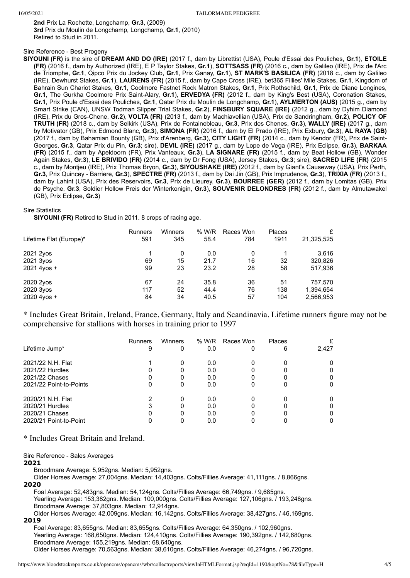**2nd** Prix La Rochette, Longchamp, **Gr.3**, (2009) **3rd** Prix du Moulin de Longchamp, Longchamp, **Gr.1**, (2010) Retired to Stud in 2011.

## Sire Reference - Best Progeny

**SIYOUNI (FR)** is the sire of **DREAM AND DO (IRE)** (2017 f., dam by Librettist (USA), Poule d'Essai des Pouliches, **Gr.1**), **ETOILE (FR)** (2016 f., dam by Authorized (IRE), E P Taylor Stakes, **Gr.1**), **SOTTSASS (FR)** (2016 c., dam by Galileo (IRE), Prix de l'Arc de Triomphe, **Gr.1**, Qipco Prix du Jockey Club, **Gr.1**, Prix Ganay, **Gr.1**), **ST MARK'S BASILICA (FR)** (2018 c., dam by Galileo (IRE), Dewhurst Stakes, **Gr.1**), **LAURENS (FR)** (2015 f., dam by Cape Cross (IRE), bet365 Fillies' Mile Stakes, **Gr.1**, Kingdom of Bahrain Sun Chariot Stakes, **Gr.1**, Coolmore Fastnet Rock Matron Stakes, **Gr.1**, Prix Rothschild, **Gr.1**, Prix de Diane Longines, **Gr.1**, The Gurkha Coolmore Prix Saint-Alary, **Gr.1**), **ERVEDYA (FR)** (2012 f., dam by King's Best (USA), Coronation Stakes, **Gr.1**, Prix Poule d'Essai des Pouliches, **Gr.1**, Qatar Prix du Moulin de Longchamp, **Gr.1**), **AYLMERTON (AUS)** (2015 g., dam by Smart Strike (CAN), UNSW Todman Slipper Trial Stakes, **Gr.2**), **FINSBURY SQUARE (IRE)** (2012 g., dam by Dyhim Diamond (IRE), Prix du Gros-Chene, **Gr.2**), **VOLTA (FR)** (2013 f., dam by Machiavellian (USA), Prix de Sandringham, **Gr.2**), **POLICY OF TRUTH (FR)** (2018 c., dam by Selkirk (USA), Prix de Fontainebleau, **Gr.3**, Prix des Chenes, **Gr.3**), **WALLY (IRE)** (2017 g., dam by Motivator (GB), Prix Edmond Blanc, **Gr.3**), **SIMONA (FR)** (2016 f., dam by El Prado (IRE), Prix Exbury, **Gr.3**), **AL RAYA (GB)** (2017 f., dam by Bahamian Bounty (GB), Prix d'Arenberg, **Gr.3**), **CITY LIGHT (FR)** (2014 c., dam by Kendor (FR), Prix de Saint-Georges, **Gr.3**, Qatar Prix du Pin, **Gr.3**; sire), **DEVIL (IRE)** (2017 g., dam by Lope de Vega (IRE), Prix Eclipse, **Gr.3**), **BARKAA (FR)** (2015 f., dam by Apeldoorn (FR), Prix Vanteaux, **Gr.3**), **LA SIGNARE (FR)** (2015 f., dam by Beat Hollow (GB), Wonder Again Stakes, **Gr.3**), **LE BRIVIDO (FR)** (2014 c., dam by Dr Fong (USA), Jersey Stakes, **Gr.3**; sire), **SACRED LIFE (FR)** (2015 c., dam by Montjeu (IRE), Prix Thomas Bryon, **Gr.3**), **SIYOUSHAKE (IRE)** (2012 f., dam by Giant's Causeway (USA), Prix Perth, **Gr.3**, Prix Quincey - Barriere, **Gr.3**), **SPECTRE (FR)** (2013 f., dam by Dai Jin (GB), Prix Imprudence, **Gr.3**), **TRIXIA (FR)** (2013 f., dam by Lahint (USA), Prix des Reservoirs, **Gr.3**, Prix de Lieurey, **Gr.3**), **BOURREE (GER)** (2012 f., dam by Lomitas (GB), Prix de Psyche, **Gr.3**, Soldier Hollow Preis der Winterkonigin, **Gr.3**), **SOUVENIR DELONDRES (FR)** (2012 f., dam by Almutawakel (GB), Prix Eclipse, **Gr.3**)

#### Sire Statistics

**SIYOUNI (FR)** Retired to Stud in 2011. 8 crops of racing age.

| Lifetime Flat (Europe)*               | <b>Runners</b><br>591 | Winners<br>345 | % W/R<br>58.4        | Races Won<br>784 | Places<br>1911   | 21,325,525                        |
|---------------------------------------|-----------------------|----------------|----------------------|------------------|------------------|-----------------------------------|
| 2021 2yos<br>2021 3yos<br>2021 4yos + | 1<br>69<br>99         | 0<br>15<br>23  | 0.0<br>21.7<br>23.2  | 0<br>16<br>28    | 32<br>58         | 3.616<br>320,826<br>517,936       |
| 2020 2yos<br>2020 3yos<br>2020 4yos + | 67<br>117<br>84       | 24<br>52<br>34 | 35.8<br>44.4<br>40.5 | 36<br>76<br>57   | 51<br>138<br>104 | 757,570<br>1,394,654<br>2,566,953 |

\* Includes Great Britain, Ireland, France, Germany, Italy and Scandinavia. Lifetime runners figure may not be comprehensive for stallions with horses in training prior to 1997

| Lifetime Jump*                                                                   | <b>Runners</b><br>9 | Winners<br>0     | % W/R<br>0.0             | Races Won | Places<br>6 | 2,427            |
|----------------------------------------------------------------------------------|---------------------|------------------|--------------------------|-----------|-------------|------------------|
| 2021/22 N.H. Flat<br>2021/22 Hurdles                                             | 0                   | 0                | 0.0<br>0.0               |           |             | 0<br>0           |
| 2021/22 Chases<br>2021/22 Point-to-Points                                        | 0<br>0              | 0<br>0           | 0.0<br>0.0               |           |             | 0<br>0           |
| 2020/21 N.H. Flat<br>2020/21 Hurdles<br>2020/21 Chases<br>2020/21 Point-to-Point | 3<br>0<br>ი         | 0<br>0<br>0<br>0 | 0.0<br>0.0<br>0.0<br>0.0 |           |             | 0<br>0<br>0<br>0 |

\* Includes Great Britain and Ireland.

Sire Reference - Sales Averages

#### **2021**

Broodmare Average: 5,952gns. Median: 5,952gns.

Older Horses Average: 27,004gns. Median: 14,403gns. Colts/Fillies Average: 41,111gns. / 8,866gns.

# **2020**

Foal Average: 52,483gns. Median: 54,124gns. Colts/Fillies Average: 66,749gns. / 9,685gns. Yearling Average: 153,382gns. Median: 100,000gns. Colts/Fillies Average: 127,106gns. / 193,248gns. Broodmare Average: 37,803gns. Median: 12,914gns. Older Horses Average: 42,009gns. Median: 16,142gns. Colts/Fillies Average: 38,427gns. / 46,169gns.

#### **2019**

Foal Average: 83,655gns. Median: 83,655gns. Colts/Fillies Average: 64,350gns. / 102,960gns. Yearling Average: 168,650gns. Median: 124,410gns. Colts/Fillies Average: 190,392gns. / 142,680gns. Broodmare Average: 155,219gns. Median: 68,640gns. Older Horses Average: 70,563gns. Median: 38,610gns. Colts/Fillies Average: 46,274gns. / 96,720gns.